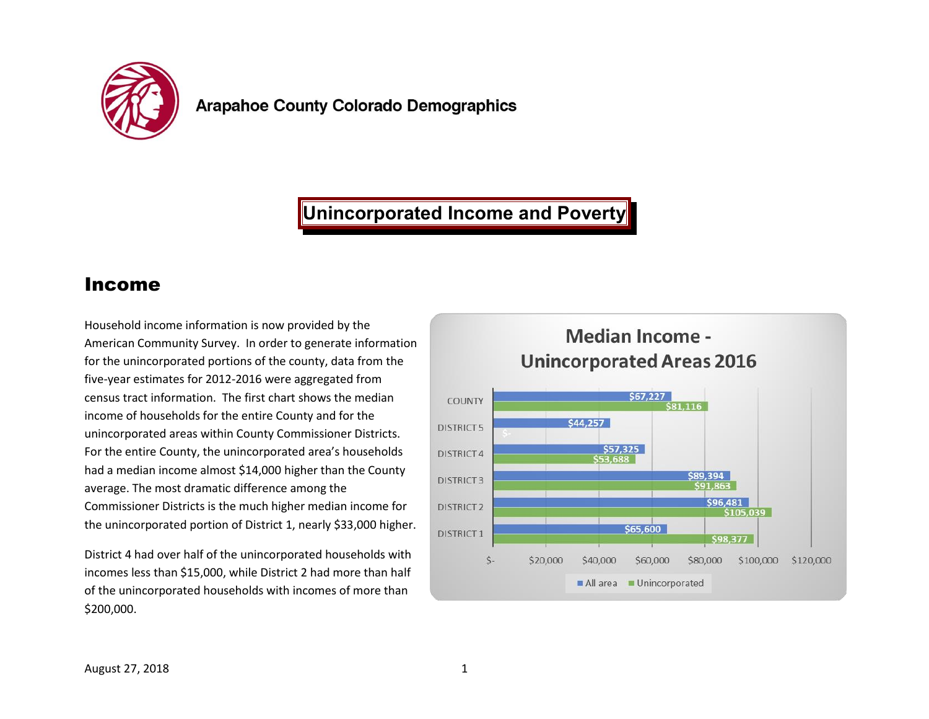

# **Unincorporated Income and Poverty**

#### Income

Household income information is now provided by the American Community Survey. In order to generate information for the unincorporated portions of the county, data from the five-year estimates for 2012-2016 were aggregated from census tract information. The first chart shows the median income of households for the entire County and for the unincorporated areas within County Commissioner Districts. For the entire County, the unincorporated area's households had a median income almost \$14,000 higher than the County average. The most dramatic difference among the Commissioner Districts is the much higher median income for the unincorporated portion of District 1, nearly \$33,000 higher.

District 4 had over half of the unincorporated households with incomes less than \$15,000, while District 2 had more than half of the unincorporated households with incomes of more than \$200,000.

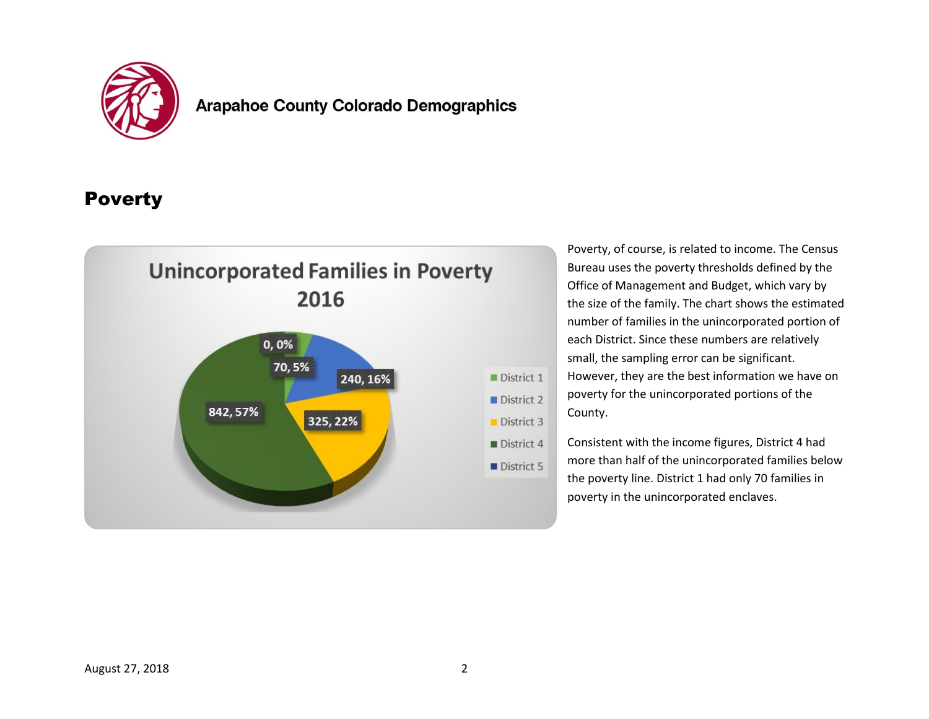

#### **Arapahoe County Colorado Demographics**

### **Poverty**



Poverty, of course, is related to income. The Census Bureau uses the poverty thresholds defined by the Office of Management and Budget, which vary by the size of the family. The chart shows the estimated number of families in the unincorporated portion of each District. Since these numbers are relatively small, the sampling error can be significant. However, they are the best information we have on poverty for the unincorporated portions of the County.

Consistent with the income figures, District 4 had more than half of the unincorporated families below the poverty line. District 1 had only 70 families in poverty in the unincorporated enclaves.